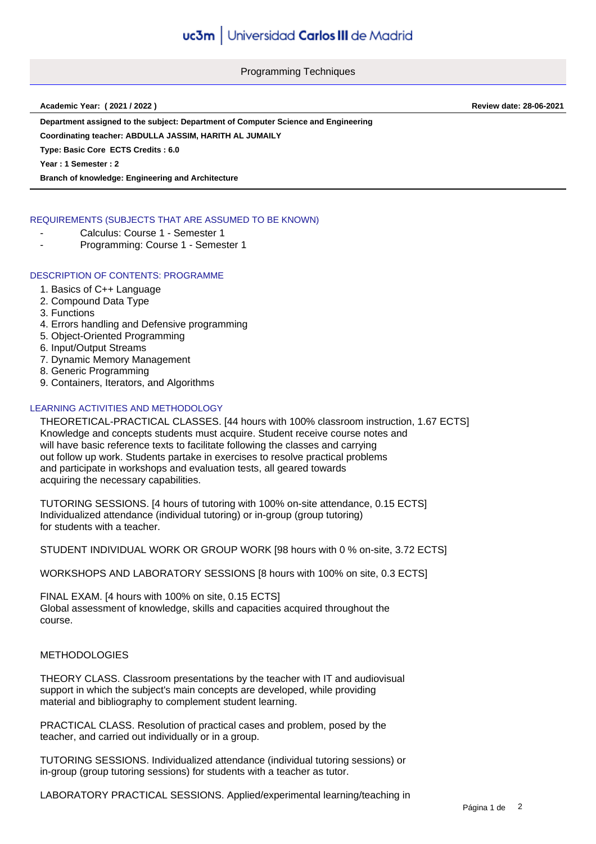Programming Techniques

**Academic Year: ( 2021 / 2022 ) Review date: 28-06-2021**

**Department assigned to the subject: Department of Computer Science and Engineering**

**Coordinating teacher: ABDULLA JASSIM, HARITH AL JUMAILY**

**Type: Basic Core ECTS Credits : 6.0**

**Year : 1 Semester : 2**

**Branch of knowledge: Engineering and Architecture**

# REQUIREMENTS (SUBJECTS THAT ARE ASSUMED TO BE KNOWN)

- Calculus: Course 1 Semester 1
- Programming: Course 1 Semester 1

# DESCRIPTION OF CONTENTS: PROGRAMME

- 1. Basics of C++ Language
- 2. Compound Data Type
- 3. Functions
- 4. Errors handling and Defensive programming
- 5. Object-Oriented Programming
- 6. Input/Output Streams
- 7. Dynamic Memory Management
- 8. Generic Programming
- 9. Containers, Iterators, and Algorithms

# LEARNING ACTIVITIES AND METHODOLOGY

THEORETICAL-PRACTICAL CLASSES. [44 hours with 100% classroom instruction, 1.67 ECTS] Knowledge and concepts students must acquire. Student receive course notes and will have basic reference texts to facilitate following the classes and carrying out follow up work. Students partake in exercises to resolve practical problems and participate in workshops and evaluation tests, all geared towards acquiring the necessary capabilities.

TUTORING SESSIONS. [4 hours of tutoring with 100% on-site attendance, 0.15 ECTS] Individualized attendance (individual tutoring) or in-group (group tutoring) for students with a teacher.

STUDENT INDIVIDUAL WORK OR GROUP WORK [98 hours with 0 % on-site, 3.72 ECTS]

WORKSHOPS AND LABORATORY SESSIONS [8 hours with 100% on site, 0.3 ECTS]

FINAL EXAM. [4 hours with 100% on site, 0.15 ECTS] Global assessment of knowledge, skills and capacities acquired throughout the course.

## METHODOLOGIES

THEORY CLASS. Classroom presentations by the teacher with IT and audiovisual support in which the subject's main concepts are developed, while providing material and bibliography to complement student learning.

PRACTICAL CLASS. Resolution of practical cases and problem, posed by the teacher, and carried out individually or in a group.

TUTORING SESSIONS. Individualized attendance (individual tutoring sessions) or in-group (group tutoring sessions) for students with a teacher as tutor.

LABORATORY PRACTICAL SESSIONS. Applied/experimental learning/teaching in